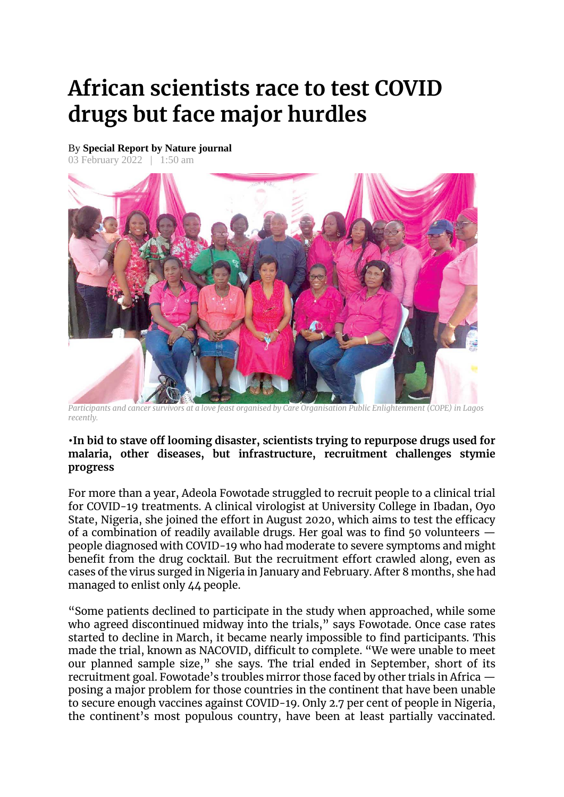# **African scientists race to test COVID drugs but face major hurdles**

#### By **Special Report by Nature journal**

03 February 2022 | 1:50 am



*Participants and cancer survivors at a love feast organised by Care Organisation Public Enlightenment (COPE) in Lagos recently.*

## **•In bid to stave off looming disaster, scientists trying to repurpose drugs used for malaria, other diseases, but infrastructure, recruitment challenges stymie progress**

For more than a year, Adeola Fowotade struggled to recruit people to a clinical trial for COVID-19 treatments. A clinical virologist at University College in Ibadan, Oyo State, Nigeria, she joined the effort in August 2020, which aims to test the efficacy of a combination of readily available drugs. Her goal was to find 50 volunteers people diagnosed with COVID-19 who had moderate to severe symptoms and might benefit from the drug cocktail. But the recruitment effort crawled along, even as cases of the virus surged in Nigeria in January and February. After 8 months, she had managed to enlist only 44 people.

"Some patients declined to participate in the study when approached, while some who agreed discontinued midway into the trials," says Fowotade. Once case rates started to decline in March, it became nearly impossible to find participants. This made the trial, known as NACOVID, difficult to complete. "We were unable to meet our planned sample size," she says. The trial ended in September, short of its recruitment goal. Fowotade's troubles mirror those faced by other trials in Africa posing a major problem for those countries in the continent that have been unable to secure enough vaccines against COVID-19. Only 2.7 per cent of people in Nigeria, the continent's most populous country, have been at least partially vaccinated.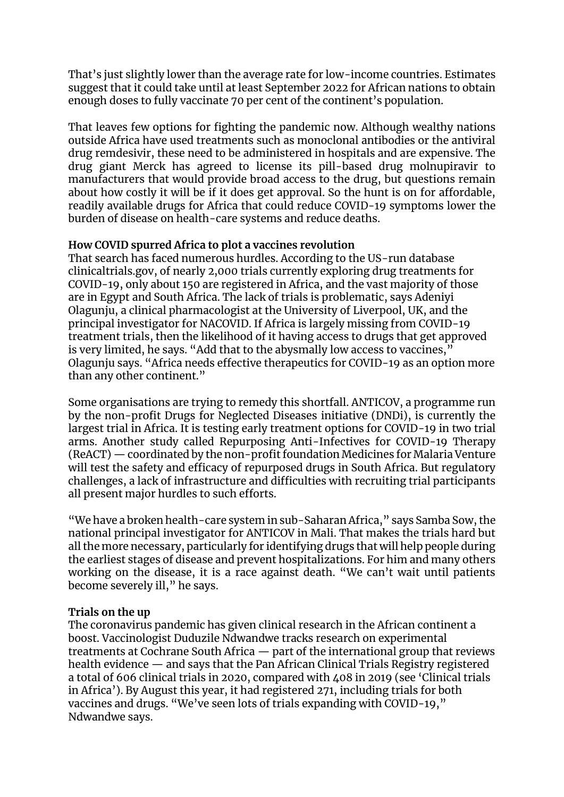That's just slightly lower than the average rate for low-income countries. Estimates suggest that it could take until at least September 2022 for African nations to obtain enough doses to fully vaccinate 70 per cent of the continent's population.

That leaves few options for fighting the pandemic now. Although wealthy nations outside Africa have used treatments such as monoclonal antibodies or the antiviral drug remdesivir, these need to be administered in hospitals and are expensive. The drug giant Merck has agreed to license its pill-based drug molnupiravir to manufacturers that would provide broad access to the drug, but questions remain about how costly it will be if it does get approval. So the hunt is on for affordable, readily available drugs for Africa that could reduce COVID-19 symptoms lower the burden of disease on health-care systems and reduce deaths.

## **How COVID spurred Africa to plot a vaccines revolution**

That search has faced numerous hurdles. According to the US-run database clinicaltrials.gov, of nearly 2,000 trials currently exploring drug treatments for COVID-19, only about 150 are registered in Africa, and the vast majority of those are in Egypt and South Africa. The lack of trials is problematic, says Adeniyi Olagunju, a clinical pharmacologist at the University of Liverpool, UK, and the principal investigator for NACOVID. If Africa is largely missing from COVID-19 treatment trials, then the likelihood of it having access to drugs that get approved is very limited, he says. "Add that to the abysmally low access to vaccines, $\overline{\mathbf{S}}$ Olagunju says. "Africa needs effective therapeutics for COVID-19 as an option more than any other continent."

Some organisations are trying to remedy this shortfall. ANTICOV, a programme run by the non-profit Drugs for Neglected Diseases initiative (DNDi), is currently the largest trial in Africa. It is testing early treatment options for COVID-19 in two trial arms. Another study called Repurposing Anti-Infectives for COVID-19 Therapy (ReACT) —coordinated by the non-profit foundation Medicines for Malaria Venture will test the safety and efficacy of repurposed drugs in South Africa. But regulatory challenges, a lack of infrastructure and difficulties with recruiting trial participants all present major hurdles to such efforts.

"We have a broken health-care system in sub-Saharan Africa," says Samba Sow, the national principal investigator for ANTICOV in Mali. That makes the trials hard but all the more necessary, particularly for identifying drugs that will help people during the earliest stages of disease and prevent hospitalizations. For him and many others working on the disease, it is a race against death. "We can't wait until patients become severely ill," he says.

### **Trials on the up**

The coronavirus pandemic has given clinical research in the African continent a boost. Vaccinologist Duduzile Ndwandwe tracks research on experimental treatments at Cochrane South Africa — part of the international group that reviews health evidence — and says that the Pan African Clinical Trials Registry registered a total of 606 clinical trials in 2020, compared with 408 in 2019 (see 'Clinical trials in Africa'). By August this year, it had registered 271, including trials for both vaccines and drugs. "We've seen lots of trials expanding with COVID-19," Ndwandwe says.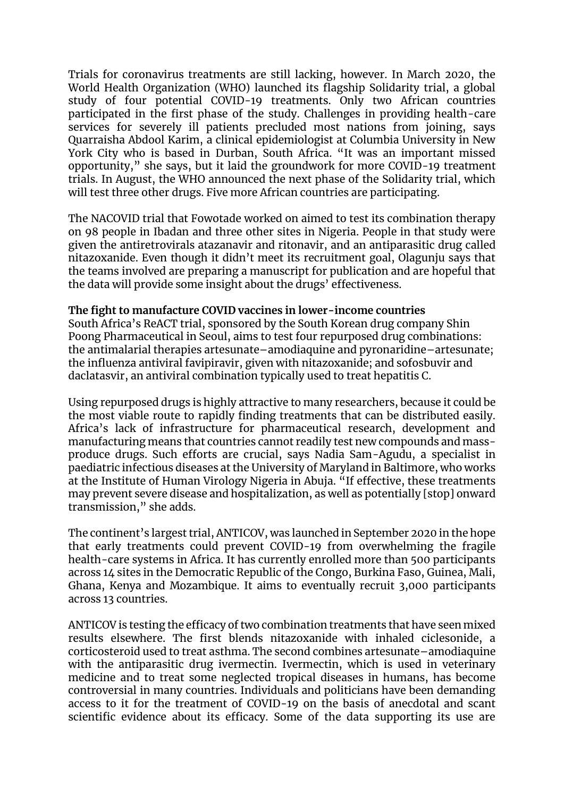Trials for coronavirus treatments are still lacking, however. In March 2020, the World Health Organization (WHO) launched its flagship Solidarity trial, a global study of four potential COVID-19 treatments. Only two African countries participated in the first phase of the study. Challenges in providing health-care services for severely ill patients precluded most nations from joining, says Quarraisha Abdool Karim, a clinical epidemiologist at Columbia University in New York City who is based in Durban, South Africa. "It was an important missed opportunity," she says, but it laid the groundwork for more COVID-19 treatment trials. In August, the WHO announced the next phase of the Solidarity trial, which will test three other drugs. Five more African countries are participating.

The NACOVID trial that Fowotade worked on aimed to test its combination therapy on 98 people in Ibadan and three other sites in Nigeria. People in that study were given the antiretrovirals atazanavir and ritonavir, and an antiparasitic drug called nitazoxanide. Even though it didn't meet its recruitment goal, Olagunju says that the teams involved are preparing a manuscript for publication and are hopeful that the data will provide some insight about the drugs' effectiveness.

#### **The fight to manufacture COVID vaccines in lower-income countries**

South Africa's ReACT trial, sponsored by the South Korean drug company Shin Poong Pharmaceutical in Seoul, aims to test four repurposed drug combinations: the antimalarial therapies artesunate–amodiaquine and pyronaridine–artesunate; the influenza antiviral favipiravir, given with nitazoxanide; and sofosbuvir and daclatasvir, an antiviral combination typically used to treat hepatitis C.

Using repurposed drugs is highly attractive to many researchers, because it could be the most viable route to rapidly finding treatments that can be distributed easily. Africa's lack of infrastructure for pharmaceutical research, development and manufacturing means that countries cannot readily test new compounds and massproduce drugs. Such efforts are crucial, says Nadia Sam-Agudu, a specialist in paediatric infectious diseases at the University of Maryland in Baltimore, who works at the Institute of Human Virology Nigeria in Abuja. "If effective, these treatments may prevent severe disease and hospitalization, as well as potentially [stop] onward transmission," she adds.

The continent's largest trial, ANTICOV, was launched in September 2020 in the hope that early treatments could prevent COVID-19 from overwhelming the fragile health-care systems in Africa. It has currently enrolled more than 500 participants across 14 sites in the Democratic Republic of the Congo, Burkina Faso, Guinea, Mali, Ghana, Kenya and Mozambique. It aims to eventually recruit 3,000 participants across 13 countries.

ANTICOV is testing the efficacy of two combination treatments that have seen mixed results elsewhere. The first blends nitazoxanide with inhaled ciclesonide, a corticosteroid used to treat asthma. The second combines artesunate–amodiaquine with the antiparasitic drug ivermectin. Ivermectin, which is used in veterinary medicine and to treat some neglected tropical diseases in humans, has become controversial in many countries. Individuals and politicians have been demanding access to it for the treatment of COVID-19 on the basis of anecdotal and scant scientific evidence about its efficacy. Some of the data supporting its use are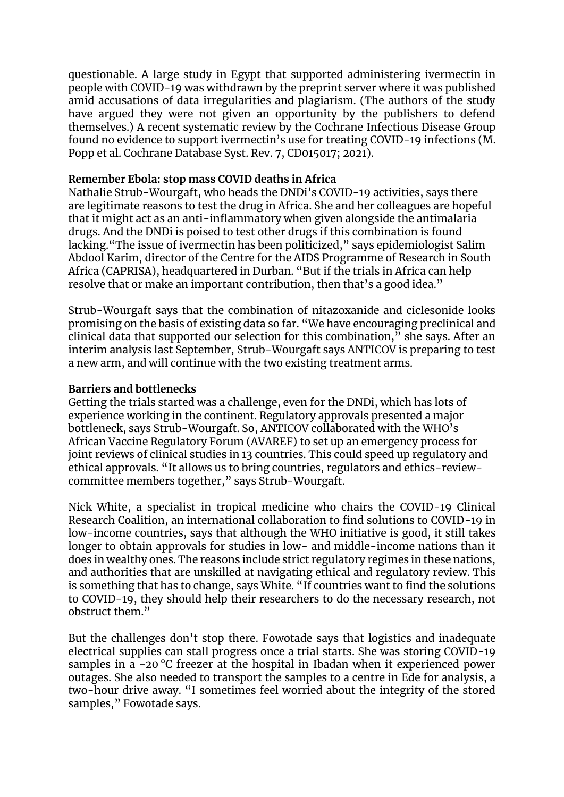questionable. A large study in Egypt that supported administering ivermectin in people with COVID-19 was withdrawn by the preprint server where it was published amid accusations of data irregularities and plagiarism. (The authors of the study have argued they were not given an opportunity by the publishers to defend themselves.) A recent systematic review by the Cochrane Infectious Disease Group found no evidence to support ivermectin's use for treating COVID-19 infections (M. Popp et al. Cochrane Database Syst. Rev. 7, CD015017; 2021).

### **Remember Ebola: stop mass COVID deaths in Africa**

Nathalie Strub-Wourgaft, who heads the DNDi's COVID-19 activities, says there are legitimate reasons to test the drug in Africa. She and her colleagues are hopeful that it might act as an anti-inflammatory when given alongside the antimalaria drugs. And the DNDi is poised to test other drugs if this combination is found lacking."The issue of ivermectin has been politicized," says epidemiologist Salim Abdool Karim, director of the Centre for the AIDS Programme of Research in South Africa (CAPRISA), headquartered in Durban. "But if the trials in Africa can help resolve that or make an important contribution, then that's a good idea."

Strub-Wourgaft says that the combination of nitazoxanide and ciclesonide looks promising on the basis of existing data so far. "We have encouraging preclinical and clinical data that supported our selection for this combination," she says. After an interim analysis last September, Strub-Wourgaft says ANTICOV is preparing to test a new arm, and will continue with the two existing treatment arms.

## **Barriers and bottlenecks**

Getting the trials started was a challenge, even for the DNDi, which has lots of experience working in the continent. Regulatory approvals presented a major bottleneck, says Strub-Wourgaft. So, ANTICOV collaborated with the WHO's African Vaccine Regulatory Forum (AVAREF) to set up an emergency process for joint reviews of clinical studies in 13 countries. This could speed up regulatory and ethical approvals. "It allows us to bring countries, regulators and ethics-reviewcommittee members together," says Strub-Wourgaft.

Nick White, a specialist in tropical medicine who chairs the COVID-19 Clinical Research Coalition, an international collaboration to find solutions to COVID-19 in low-income countries, says that although the WHO initiative is good, it still takes longer to obtain approvals for studies in low- and middle-income nations than it does in wealthy ones. The reasons include strict regulatory regimes in these nations, and authorities that are unskilled at navigating ethical and regulatory review. This is something that has to change, says White. "If countries want to find the solutions to COVID-19, they should help their researchers to do the necessary research, not obstruct them."

But the challenges don't stop there. Fowotade says that logistics and inadequate electrical supplies can stall progress once a trial starts. She was storing COVID-19 samples in a −20 °C freezer at the hospital in Ibadan when it experienced power outages. She also needed to transport the samples to a centre in Ede for analysis, a two-hour drive away. "I sometimes feel worried about the integrity of the stored samples," Fowotade says.